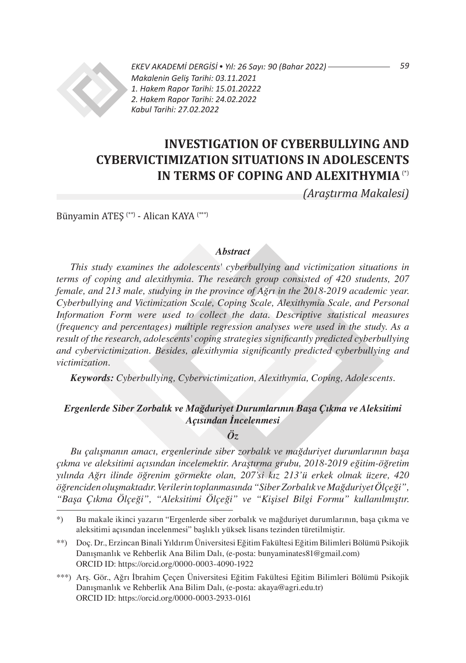

*EKEV AKADEMİ DERGİSİ* • *Yıl: 26 Sayı: 90 (Bahar 2022) Makalenin Geliş Tarihi: 03.11.2021 1. Hakem Rapor Tarihi: 15.01.20222 2. Hakem Rapor Tarihi: 24.02.2022 Kabul Tarihi: 27.02.2022*

# **INVESTIGATION OF CYBERBULLYING AND CYBERVICTIMIZATION SITUATIONS IN ADOLESCENTS IN TERMS OF COPING AND ALEXITHYMIA** (\*)

*(Araştırma Makalesi)*

Bünyamin ATEŞ (\*\*) - Alican KAYA (\*\*\*)

### *Abstract*

*This study examines the adolescents' cyberbullying and victimization situations in terms of coping and alexithymia. The research group consisted of 420 students, 207 female, and 213 male, studying in the province of Ağrı in the 2018-2019 academic year. Cyberbullying and Victimization Scale, Coping Scale, Alexithymia Scale, and Personal Information Form were used to collect the data. Descriptive statistical measures (frequency and percentages) multiple regression analyses were used in the study. As a result of the research, adolescents' coping strategies significantly predicted cyberbullying and cybervictimization. Besides, alexithymia significantly predicted cyberbullying and victimization.*

*Keywords: Cyberbullying, Cybervictimization, Alexithymia, Coping, Adolescents.*

## *Ergenlerde Siber Zorbalık ve Mağduriyet Durumlarının Başa Çıkma ve Aleksitimi Açısından İncelenmesi*

## *Öz*

*Bu çalışmanın amacı, ergenlerinde siber zorbalık ve mağduriyet durumlarının başa çıkma ve aleksitimi açısından incelemektir. Araştırma grubu, 2018-2019 eğitim-öğretim yılında Ağrı ilinde öğrenim görmekte olan, 207'si kız 213'ü erkek olmak üzere, 420 öğrenciden oluşmaktadır. Verilerin toplanmasında "Siber Zorbalık ve Mağduriyet Ölçeği", "Başa Çıkma Ölçeği", "Aleksitimi Ölçeği" ve "Kişisel Bilgi Formu" kullanılmıştır.* 

*59*

<sup>\*)</sup> Bu makale ikinci yazarın "Ergenlerde siber zorbalık ve mağduriyet durumlarının, başa çıkma ve aleksitimi açısından incelenmesi" başlıklı yüksek lisans tezinden türetilmiştir.

<sup>\*\*)</sup> Doç. Dr., Erzincan Binali Yıldırım Üniversitesi Eğitim Fakültesi Eğitim Bilimleri Bölümü Psikojik Danışmanlık ve Rehberlik Ana Bilim Dalı, (e-posta: bunyaminates81@gmail.com) ORCID ID: https://orcid.org/0000-0003-4090-1922

<sup>\*\*\*)</sup> Arş. Gör., Ağrı İbrahim Çeçen Üniversitesi Eğitim Fakültesi Eğitim Bilimleri Bölümü Psikojik Danışmanlık ve Rehberlik Ana Bilim Dalı, (e-posta: akaya@agri.edu.tr) ORCID ID: https://orcid.org/0000-0003-2933-0161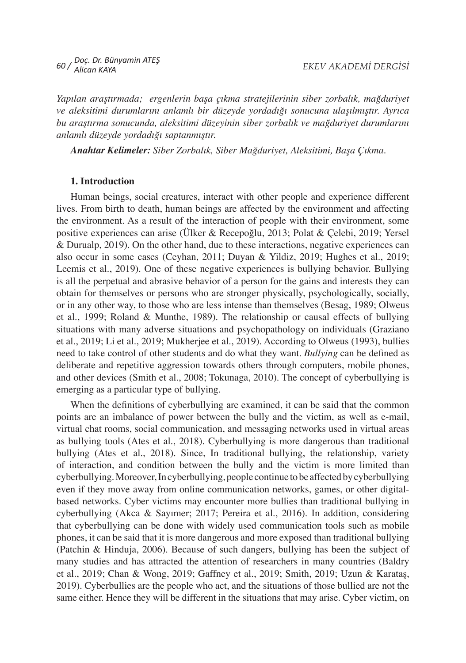*Yapılan araştırmada; ergenlerin başa çıkma stratejilerinin siber zorbalık, mağduriyet ve aleksitimi durumlarını anlamlı bir düzeyde yordadığı sonucuna ulaşılmıştır. Ayrıca bu araştırma sonucunda, aleksitimi düzeyinin siber zorbalık ve mağduriyet durumlarını anlamlı düzeyde yordadığı saptanmıştır.* 

*Anahtar Kelimeler: Siber Zorbalık, Siber Mağduriyet, Aleksitimi, Başa Çıkma.*

## **1. Introduction**

Human beings, social creatures, interact with other people and experience different lives. From birth to death, human beings are affected by the environment and affecting the environment. As a result of the interaction of people with their environment, some positive experiences can arise (Ülker & Recepoğlu, 2013; Polat & Çelebi, 2019; Yersel & Durualp, 2019). On the other hand, due to these interactions, negative experiences can also occur in some cases (Ceyhan, 2011; Duyan & Yildiz, 2019; Hughes et al., 2019; Leemis et al., 2019). One of these negative experiences is bullying behavior. Bullying is all the perpetual and abrasive behavior of a person for the gains and interests they can obtain for themselves or persons who are stronger physically, psychologically, socially, or in any other way, to those who are less intense than themselves (Besag, 1989; Olweus et al., 1999; Roland & Munthe, 1989). The relationship or causal effects of bullying situations with many adverse situations and psychopathology on individuals (Graziano et al., 2019; Li et al., 2019; Mukherjee et al., 2019). According to Olweus (1993), bullies need to take control of other students and do what they want. *Bullying* can be defined as deliberate and repetitive aggression towards others through computers, mobile phones, and other devices (Smith et al., 2008; Tokunaga, 2010). The concept of cyberbullying is emerging as a particular type of bullying.

When the definitions of cyberbullying are examined, it can be said that the common points are an imbalance of power between the bully and the victim, as well as e-mail, virtual chat rooms, social communication, and messaging networks used in virtual areas as bullying tools (Ates et al., 2018). Cyberbullying is more dangerous than traditional bullying (Ates et al., 2018). Since, In traditional bullying, the relationship, variety of interaction, and condition between the bully and the victim is more limited than cyberbullying. Moreover, In cyberbullying, people continue to be affected by cyberbullying even if they move away from online communication networks, games, or other digitalbased networks. Cyber victims may encounter more bullies than traditional bullying in cyberbullying (Akca & Sayımer; 2017; Pereira et al., 2016). In addition, considering that cyberbullying can be done with widely used communication tools such as mobile phones, it can be said that it is more dangerous and more exposed than traditional bullying (Patchin & Hinduja, 2006). Because of such dangers, bullying has been the subject of many studies and has attracted the attention of researchers in many countries (Baldry et al., 2019; Chan & Wong, 2019; Gaffney et al., 2019; Smith, 2019; Uzun & Karataş, 2019). Cyberbullies are the people who act, and the situations of those bullied are not the same either. Hence they will be different in the situations that may arise. Cyber victim, on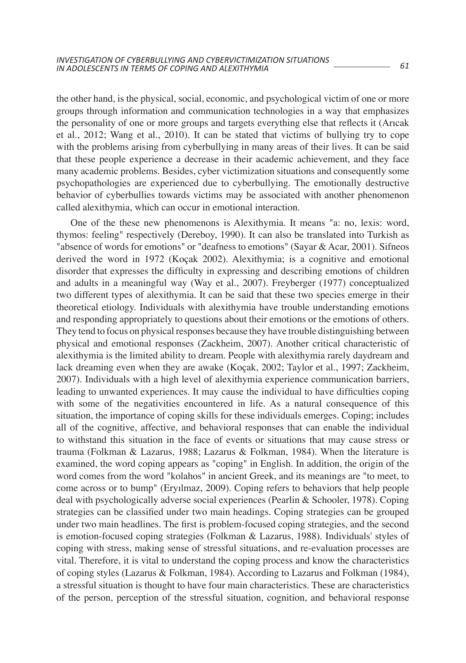the other hand, is the physical, social, economic, and psychological victim of one or more groups through information and communication technologies in a way that emphasizes the personality of one or more groups and targets everything else that reflects it (Arıcak et al., 2012; Wang et al., 2010). It can be stated that victims of bullying try to cope with the problems arising from cyberbullying in many areas of their lives. It can be said that these people experience a decrease in their academic achievement, and they face many academic problems. Besides, cyber victimization situations and consequently some psychopathologies are experienced due to cyberbullying. The emotionally destructive behavior of cyberbullies towards victims may be associated with another phenomenon called alexithymia, which can occur in emotional interaction.

One of the these new phenomenons is Alexithymia. It means "a: no, lexis: word, thymos: feeling" respectively (Dereboy, 1990). It can also be translated into Turkish as "absence of words for emotions" or "deafness to emotions" (Sayar & Acar, 2001). Sifneos derived the word in 1972 (Koçak 2002). Alexithymia; is a cognitive and emotional disorder that expresses the difficulty in expressing and describing emotions of children and adults in a meaningful way (Way et al., 2007). Freyberger (1977) conceptualized two different types of alexithymia. It can be said that these two species emerge in their theoretical etiology. Individuals with alexithymia have trouble understanding emotions and responding appropriately to questions about their emotions or the emotions of others. They tend to focus on physical responses because they have trouble distinguishing between physical and emotional responses (Zackheim, 2007). Another critical characteristic of alexithymia is the limited ability to dream. People with alexithymia rarely daydream and lack dreaming even when they are awake (Koçak, 2002; Taylor et al., 1997; Zackheim, 2007). Individuals with a high level of alexithymia experience communication barriers, leading to unwanted experiences. It may cause the individual to have difficulties coping with some of the negativities encountered in life. As a natural consequence of this situation, the importance of coping skills for these individuals emerges. Coping; includes all of the cognitive, affective, and behavioral responses that can enable the individual to withstand this situation in the face of events or situations that may cause stress or trauma (Folkman & Lazarus, 1988; Lazarus & Folkman, 1984). When the literature is examined, the word coping appears as "coping" in English. In addition, the origin of the word comes from the word "kolahos" in ancient Greek, and its meanings are "to meet, to come across or to bump" (Eryılmaz, 2009). Coping refers to behaviors that help people deal with psychologically adverse social experiences (Pearlin & Schooler, 1978). Coping strategies can be classified under two main headings. Coping strategies can be grouped under two main headlines. The first is problem-focused coping strategies, and the second is emotion-focused coping strategies (Folkman & Lazarus, 1988). Individuals' styles of coping with stress, making sense of stressful situations, and re-evaluation processes are vital. Therefore, it is vital to understand the coping process and know the characteristics of coping styles (Lazarus & Folkman, 1984). According to Lazarus and Folkman (1984), a stressful situation is thought to have four main characteristics. These are characteristics of the person, perception of the stressful situation, cognition, and behavioral response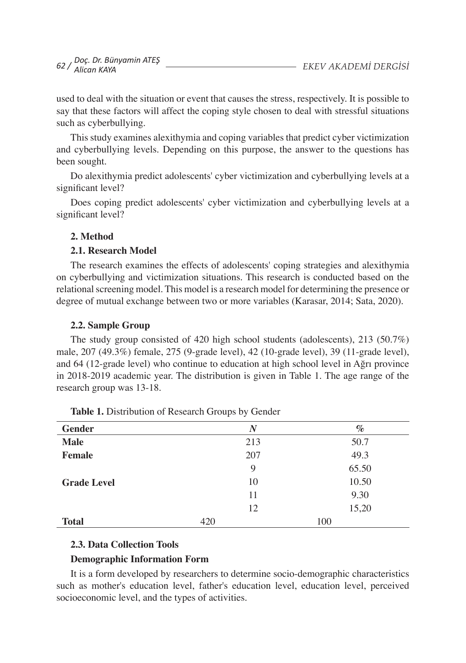used to deal with the situation or event that causes the stress, respectively. It is possible to say that these factors will affect the coping style chosen to deal with stressful situations such as cyberbullying.

This study examines alexithymia and coping variables that predict cyber victimization and cyberbullying levels. Depending on this purpose, the answer to the questions has been sought.

Do alexithymia predict adolescents' cyber victimization and cyberbullying levels at a significant level?

Does coping predict adolescents' cyber victimization and cyberbullying levels at a significant level?

## **2. Method**

## **2.1. Research Model**

The research examines the effects of adolescents' coping strategies and alexithymia on cyberbullying and victimization situations. This research is conducted based on the relationalscreening model. This model is a research model for determining the presence or degree of mutual exchange between two or more variables (Karasar, 2014; Sata, 2020).

## **2.2. Sample Group**

The study group consisted of 420 high school students (adolescents), 213 (50.7%) male, 207 (49.3%) female, 275 (9-grade level), 42 (10-grade level), 39 (11-grade level), and 64 (12-grade level) who continue to education at high school level in Ağrı province in 2018-2019 academic year. The distribution is given in Table 1. The age range of the research group was 13-18.

| <b>Gender</b>      | N   | $\%$  |
|--------------------|-----|-------|
| <b>Male</b>        | 213 | 50.7  |
| <b>Female</b>      | 207 | 49.3  |
|                    | 9   | 65.50 |
| <b>Grade Level</b> | 10  | 10.50 |
|                    | 11  | 9.30  |
|                    | 12  | 15,20 |
| <b>Total</b>       | 420 | 100   |

**Table 1.** Distribution of Research Groups by Gender

## **2.3. Data Collection Tools**

## **Demographic Information Form**

It is a form developed by researchers to determine socio-demographic characteristics such as mother's education level, father's education level, education level, perceived socioeconomic level, and the types of activities.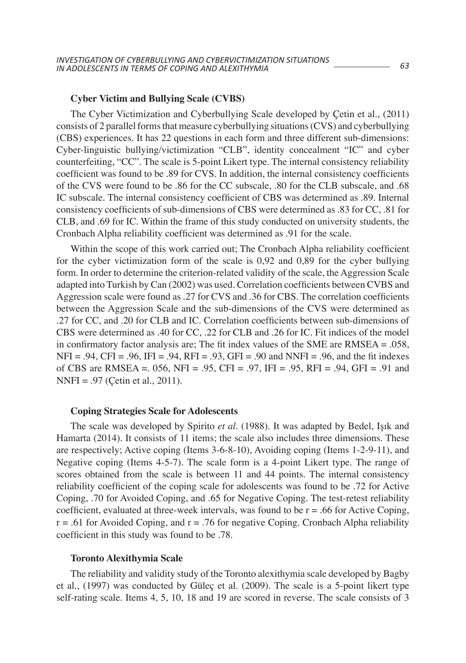### **Cyber Victim and Bullying Scale (CVBS)**

The Cyber Victimization and Cyberbullying Scale developed by Çetin et al., (2011) consists of 2 parallel forms that measure cyberbullying situations (CVS) and cyberbullying (CBS) experiences. It has 22 questions in each form and three different sub-dimensions: Cyber-linguistic bullying/victimization "CLB", identity concealment "IC" and cyber counterfeiting, "CC". The scale is 5-point Likert type. The internal consistency reliability coefficient was found to be .89 for CVS. In addition, the internal consistency coefficients of the CVS were found to be .86 for the CC subscale, .80 for the CLB subscale, and .68 IC subscale. The internal consistency coefficient of CBS was determined as .89. Internal consistency coefficients of sub-dimensions of CBS were determined as .83 for CC, .81 for CLB, and .69 for IC. Within the frame of this study conducted on university students, the Cronbach Alpha reliability coefficient was determined as .91 for the scale.

Within the scope of this work carried out; The Cronbach Alpha reliability coefficient for the cyber victimization form of the scale is 0,92 and 0,89 for the cyber bullying form. In order to determine the criterion-related validity of the scale, the Aggression Scale adapted into Turkish by Can (2002) was used. Correlation coefficients between CVBS and Aggression scale were found as .27 for CVS and .36 for CBS. The correlation coefficients between the Aggression Scale and the sub-dimensions of the CVS were determined as .27 for CC, and .20 for CLB and IC. Correlation coefficients between sub-dimensions of CBS were determined as .40 for CC, .22 for CLB and .26 for IC. Fit indices of the model in confirmatory factor analysis are; The fit index values of the SME are RMSEA = .058,  $NFI = .94$ ,  $CFI = .96$ ,  $IFI = .94$ ,  $RFI = .93$ ,  $GFI = .90$  and  $NNFI = .96$ , and the fit indexes of CBS are RMSEA =. 056, NFI = .95, CFI = .97, IFI = .95, RFI = .94, GFI = .91 and NNFI = .97 (Çetin et al., 2011).

### **Coping Strategies Scale for Adolescents**

The scale was developed by Spirito *et al.* (1988). It was adapted by Bedel, Işık and Hamarta (2014). It consists of 11 items; the scale also includes three dimensions. These are respectively; Active coping (Items 3-6-8-10), Avoiding coping (Items 1-2-9-11), and Negative coping (Items 4-5-7). The scale form is a 4-point Likert type. The range of scores obtained from the scale is between 11 and 44 points. The internal consistency reliability coefficient of the coping scale for adolescents was found to be .72 for Active Coping, .70 for Avoided Coping, and .65 for Negative Coping. The test-retest reliability coefficient, evaluated at three-week intervals, was found to be  $r = .66$  for Active Coping,  $r = .61$  for Avoided Coping, and  $r = .76$  for negative Coping. Cronbach Alpha reliability coefficient in this study was found to be .78.

#### **Toronto Alexithymia Scale**

The reliability and validity study of the Toronto alexithymia scale developed by Bagby et al., (1997) was conducted by Güleç et al. (2009). The scale is a 5-point likert type self-rating scale. Items 4, 5, 10, 18 and 19 are scored in reverse. The scale consists of 3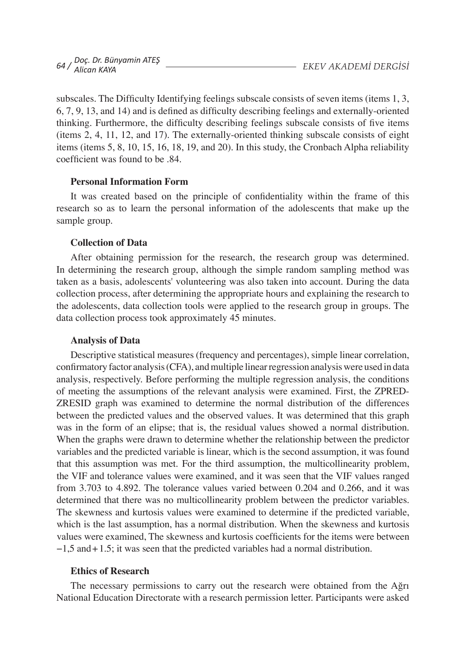subscales. The Difficulty Identifying feelings subscale consists of seven items (items 1, 3, 6, 7, 9, 13, and 14) and is defined as difficulty describing feelings and externally-oriented thinking. Furthermore, the difficulty describing feelings subscale consists of five items (items 2, 4, 11, 12, and 17). The externally-oriented thinking subscale consists of eight items (items 5, 8, 10, 15, 16, 18, 19, and 20). In this study, the Cronbach Alpha reliability coefficient was found to be .84.

### **Personal Information Form**

It was created based on the principle of confidentiality within the frame of this research so as to learn the personal information of the adolescents that make up the sample group.

## **Collection of Data**

After obtaining permission for the research, the research group was determined. In determining the research group, although the simple random sampling method was taken as a basis, adolescents' volunteering was also taken into account. During the data collection process, after determining the appropriate hours and explaining the research to the adolescents, data collection tools were applied to the research group in groups. The data collection process took approximately 45 minutes.

### **Analysis of Data**

Descriptive statistical measures (frequency and percentages), simple linear correlation, confirmatory factor analysis (CFA), and multiple linear regression analysis were used in data analysis, respectively. Before performing the multiple regression analysis, the conditions of meeting the assumptions of the relevant analysis were examined. First, the ZPRED-ZRESID graph was examined to determine the normal distribution of the differences between the predicted values and the observed values. It was determined that this graph was in the form of an elipse; that is, the residual values showed a normal distribution. When the graphs were drawn to determine whether the relationship between the predictor variables and the predicted variable is linear, which is the second assumption, it was found that this assumption was met. For the third assumption, the multicollinearity problem, the VIF and tolerance values were examined, and it was seen that the VIF values ranged from 3.703 to 4.892. The tolerance values varied between 0.204 and 0.266, and it was determined that there was no multicollinearity problem between the predictor variables. The skewness and kurtosis values were examined to determine if the predicted variable, which is the last assumption, has a normal distribution. When the skewness and kurtosis values were examined, The skewness and kurtosis coefficients for the items were between −1,5 and+1.5; it was seen that the predicted variables had a normal distribution.

### **Ethics of Research**

The necessary permissions to carry out the research were obtained from the Ağrı National Education Directorate with a research permission letter. Participants were asked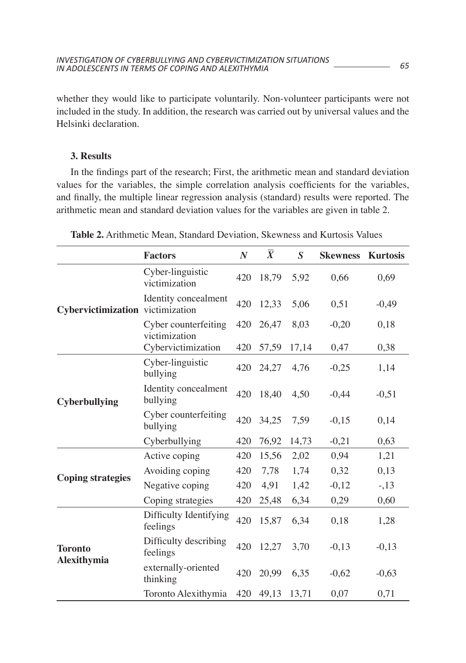whether they would like to participate voluntarily. Non-volunteer participants were not included in the study. In addition, the research was carried out by universal values and the Helsinki declaration.

## **3. Results**

In the findings part of the research; First, the arithmetic mean and standard deviation values for the variables, the simple correlation analysis coefficients for the variables, and finally, the multiple linear regression analysis (standard) results were reported. The arithmetic mean and standard deviation values for the variables are given in table 2.

|                                  | <b>Factors</b>                        | $\boldsymbol{N}$ | $\overline{\overline{X}}$ | $\boldsymbol{S}$ | <b>Skewness</b> | <b>Kurtosis</b> |
|----------------------------------|---------------------------------------|------------------|---------------------------|------------------|-----------------|-----------------|
|                                  | Cyber-linguistic<br>victimization     | 420              | 18,79                     | 5,92             | 0,66            | 0,69            |
| Cybervictimization victimization | Identity concealment                  | 420              | 12,33                     | 5,06             | 0,51            | $-0,49$         |
|                                  | Cyber counterfeiting<br>victimization | 420              | 26,47                     | 8,03             | $-0,20$         | 0,18            |
|                                  | Cybervictimization                    | 420              | 57,59                     | 17,14            | 0,47            | 0,38            |
|                                  | Cyber-linguistic<br>bullying          | 420              | 24,27                     | 4,76             | $-0,25$         | 1,14            |
| Cyberbullying                    | Identity concealment<br>bullying      | 420              | 18,40                     | 4,50             | $-0,44$         | $-0,51$         |
|                                  | Cyber counterfeiting<br>bullying      | 420              | 34,25                     | 7,59             | $-0,15$         | 0,14            |
|                                  | Cyberbullying                         | 420              | 76,92                     | 14,73            | $-0,21$         | 0,63            |
|                                  | Active coping                         | 420              | 15,56                     | 2,02             | 0,94            | 1,21            |
|                                  | Avoiding coping                       | 420              | 7,78                      | 1,74             | 0,32            | 0,13            |
| <b>Coping strategies</b>         | Negative coping                       | 420              | 4,91                      | 1,42             | $-0,12$         | $-13$           |
|                                  | Coping strategies                     | 420              | 25,48                     | 6,34             | 0,29            | 0,60            |
| <b>Toronto</b><br>Alexithymia    | Difficulty Identifying<br>feelings    | 420              | 15,87                     | 6,34             | 0,18            | 1,28            |
|                                  | Difficulty describing<br>feelings     | 420              | 12,27                     | 3,70             | $-0,13$         | $-0,13$         |
|                                  | externally-oriented<br>thinking       | 420              | 20,99                     | 6,35             | $-0,62$         | $-0,63$         |
|                                  | Toronto Alexithymia                   | 420              | 49,13                     | 13,71            | 0,07            | 0,71            |

| <b>Table 2.</b> Arithmetic Mean, Standard Deviation, Skewness and Kurtosis Values |  |
|-----------------------------------------------------------------------------------|--|
|-----------------------------------------------------------------------------------|--|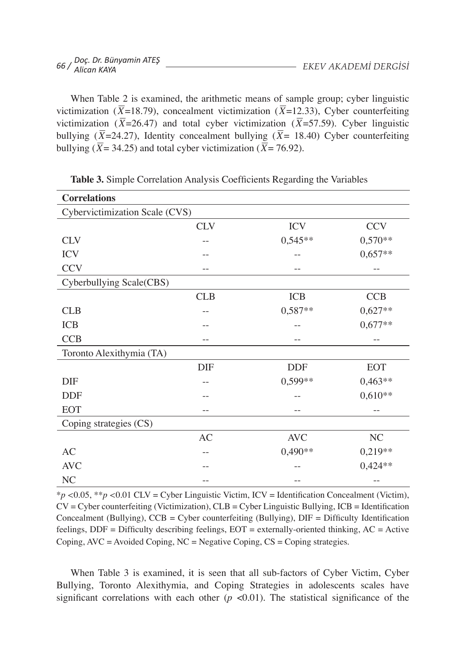| 56 / Doç. Dr. Bünyamin ATEŞ<br>56 / Alican KAYA |  | EKEV AKADEMI DERGISI |  |
|-------------------------------------------------|--|----------------------|--|
|                                                 |  |                      |  |

When Table 2 is examined, the arithmetic means of sample group; cyber linguistic victimization ( $\overline{X}$ =18.79), concealment victimization ( $\overline{X}$ =12.33), Cyber counterfeiting victimization ( $\overline{X}$ =26.47) and total cyber victimization ( $\overline{X}$ =57.59). Cyber linguistic bullying ( $\overline{X}$ =24.27), Identity concealment bullying ( $\overline{X}$ = 18.40) Cyber counterfeiting bullying ( $\overline{X}$  = 34.25) and total cyber victimization ( $\overline{X}$  = 76.92).

| <b>Correlations</b>            |            |            |            |
|--------------------------------|------------|------------|------------|
| Cybervictimization Scale (CVS) |            |            |            |
|                                | <b>CLV</b> | <b>ICV</b> | <b>CCV</b> |
| <b>CLV</b>                     |            | $0,545**$  | $0,570**$  |
| <b>ICV</b>                     | --         | --         | $0,657**$  |
| <b>CCV</b>                     |            |            | $ -$       |
| Cyberbullying Scale(CBS)       |            |            |            |
|                                | <b>CLB</b> | <b>ICB</b> | <b>CCB</b> |
| <b>CLB</b>                     |            | $0,587**$  | $0,627**$  |
| <b>ICB</b>                     |            |            | $0,677**$  |
| <b>CCB</b>                     | $-$        | $-$        |            |
| Toronto Alexithymia (TA)       |            |            |            |
|                                | DIF        | <b>DDF</b> | <b>EOT</b> |
| <b>DIF</b>                     |            | 0,599**    | $0,463**$  |
| <b>DDF</b>                     |            |            | $0,610**$  |
| <b>EOT</b>                     | $-$        |            |            |
| Coping strategies (CS)         |            |            |            |
|                                | AC         | <b>AVC</b> | NC         |
| AC                             | $ -$       | $0,490**$  | $0,219**$  |
| <b>AVC</b>                     |            |            | $0,424**$  |
| NC                             | $-$        | --         |            |

**Table 3.** Simple Correlation Analysis Coefficients Regarding the Variables

\**p <*0.05, \*\**p <*0.01 CLV = Cyber Linguistic Victim, ICV = Identification Concealment (Victim), CV = Cyber counterfeiting (Victimization), CLB = Cyber Linguistic Bullying, ICB = Identification Concealment (Bullying), CCB = Cyber counterfeiting (Bullying), DIF = Difficulty Identification feelings, DDF = Difficulty describing feelings, EOT = externally-oriented thinking, AC = Active Coping,  $AVC = Avoided Coping, NC = Negative Coping, CS = Coping strategies.$ 

When Table 3 is examined, it is seen that all sub-factors of Cyber Victim, Cyber Bullying, Toronto Alexithymia, and Coping Strategies in adolescents scales have significant correlations with each other  $(p \lt 0.01)$ . The statistical significance of the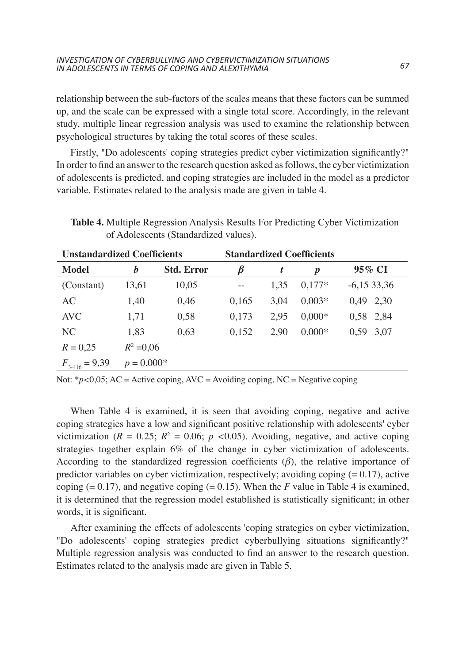relationship between the sub-factors of the scales means that these factors can be summed up, and the scale can be expressed with a single total score. Accordingly, in the relevant study, multiple linear regression analysis was used to examine the relationship between psychological structures by taking the total scores of these scales.

Firstly, "Do adolescents' coping strategies predict cyber victimization significantly?" In order to find an answer to the research question asked asfollows, the cyber victimization of adolescents is predicted, and coping strategies are included in the model as a predictor variable. Estimates related to the analysis made are given in table 4.

| <b>Unstandardized Coefficients</b> |              | <b>Standardized Coefficients</b> |       |      |                  |              |
|------------------------------------|--------------|----------------------------------|-------|------|------------------|--------------|
| Model                              | b            | <b>Std. Error</b>                | ĸ     | t    | $\boldsymbol{p}$ | 95% CI       |
| (Constant)                         | 13,61        | 10,05                            |       | 1.35 | $0.177*$         | $-6,1533,36$ |
| AC                                 | 1,40         | 0.46                             | 0,165 | 3.04 | $0.003*$         | 0.49 2.30    |
| AVC.                               | 1,71         | 0,58                             | 0,173 | 2.95 | $0.000*$         | 0.58 2.84    |
| NC.                                | 1.83         | 0,63                             | 0,152 | 2.90 | $0,000*$         | 3.07<br>0.59 |
| $R = 0.25$                         | $R^2 = 0.06$ |                                  |       |      |                  |              |
| $F_{3-416} = 9,39$                 | $p = 0.000*$ |                                  |       |      |                  |              |

**Table 4.** Multiple Regression Analysis Results For Predicting Cyber Victimization of Adolescents (Standardized values).

Not:  $*_{p}<0.05$ ; AC = Active coping, AVC = Avoiding coping, NC = Negative coping

When Table 4 is examined, it is seen that avoiding coping, negative and active coping strategies have a low and significant positive relationship with adolescents' cyber victimization ( $R = 0.25$ ;  $R<sup>2</sup> = 0.06$ ;  $p < 0.05$ ). Avoiding, negative, and active coping strategies together explain 6% of the change in cyber victimization of adolescents. According to the standardized regression coefficients  $(\beta)$ , the relative importance of predictor variables on cyber victimization, respectively; avoiding coping  $(= 0.17)$ , active coping  $(= 0.17)$ , and negative coping  $(= 0.15)$ . When the *F* value in Table 4 is examined, it is determined that the regression model established is statistically significant; in other words, it is significant.

After examining the effects of adolescents 'coping strategies on cyber victimization, "Do adolescents' coping strategies predict cyberbullying situations significantly?" Multiple regression analysis was conducted to find an answer to the research question. Estimates related to the analysis made are given in Table 5.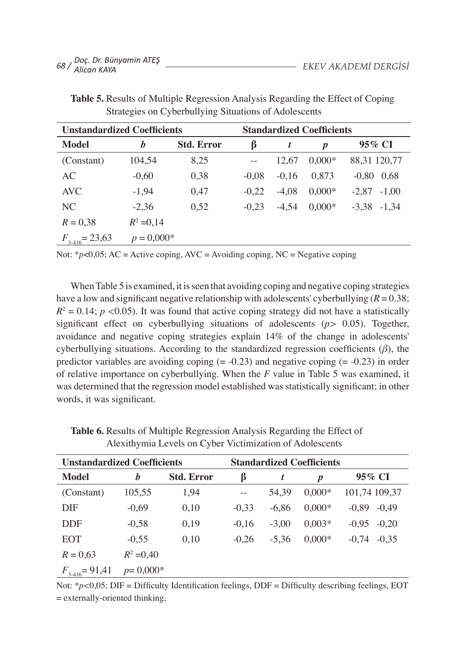| <b>Unstandardized Coefficients</b> |              |                   | <b>Standardized Coefficients</b> |         |                  |                    |
|------------------------------------|--------------|-------------------|----------------------------------|---------|------------------|--------------------|
| Model                              | b            | <b>Std. Error</b> | ß                                | t       | $\boldsymbol{p}$ | 95% CI             |
| (Constant)                         | 104.54       | 8,25              |                                  | 12.67   | $0.000*$         | 88,31 120,77       |
| AC                                 | $-0,60$      | 0,38              | $-0.08$                          | $-0.16$ | 0.873            | $-0.80$ 0.68       |
| AVC                                | $-1,94$      | 0,47              | $-0.22$                          | $-4.08$ | $0.000*$         | $-1.00$<br>$-2.87$ |
| NC.                                | $-2.36$      | 0,52              | $-0.23$                          | $-4.54$ | $0.000*$         | $-3.38 - 1.34$     |
| $R = 0.38$                         | $R^2 = 0,14$ |                   |                                  |         |                  |                    |
| $F_{3-416} = 23,63$                | $p = 0.000*$ |                   |                                  |         |                  |                    |

**Table 5.** Results of Multiple Regression Analysis Regarding the Effect of Coping Strategies on Cyberbullying Situations of Adolescents

Not:  $p<0.05$ ; AC = Active coping, AVC = Avoiding coping, NC = Negative coping

When Table 5 is examined, it is seen that avoiding coping and negative coping strategies have a low and significant negative relationship with adolescents' cyberbullying  $(R = 0.38)$ ;  $R^2 = 0.14$ ; *p* <0.05). It was found that active coping strategy did not have a statistically significant effect on cyberbullying situations of adolescents (*p>* 0.05). Together, avoidance and negative coping strategies explain 14% of the change in adolescents' cyberbullying situations. According to the standardized regression coefficients (*β*), the predictor variables are avoiding coping  $(= -0.23)$  and negative coping  $(= -0.23)$  in order of relative importance on cyberbullying. When the *F* value in Table 5 was examined, it was determined that the regression model established was statistically significant; in other words, it was significant.

| <b>Unstandardized Coefficients</b> |              |                   |         | <b>Standardized Coefficients</b> |          |                    |
|------------------------------------|--------------|-------------------|---------|----------------------------------|----------|--------------------|
| Model                              | b            | <b>Std. Error</b> | ß       | t                                | p        | 95% CI             |
| (Constant)                         | 105,55       | 1,94              |         | 54.39                            | $0.000*$ | 101,74 109,37      |
| DIF                                | $-0.69$      | 0,10              | $-0.33$ | $-6.86$                          | $0.000*$ | $-0.89$<br>$-0.49$ |
| <b>DDF</b>                         | $-0.58$      | 0,19              | $-0,16$ | $-3.00$                          | $0.003*$ | $-0.20$<br>$-0.95$ |
| <b>EOT</b>                         | $-0.55$      | 0.10              | $-0.26$ | $-5.36$                          | $0.000*$ | $-0.35$<br>$-0.74$ |
| $R = 0,63$                         | $R^2 = 0,40$ |                   |         |                                  |          |                    |
| $F_{3-416} = 91,41$                | $p=0,000*$   |                   |         |                                  |          |                    |

**Table 6.** Results of Multiple Regression Analysis Regarding the Effect of Alexithymia Levels on Cyber Victimization of Adolescents

Not: \**p*<0,05; DIF = Difficulty Identification feelings, DDF = Difficulty describing feelings, EOT = externally-oriented thinking,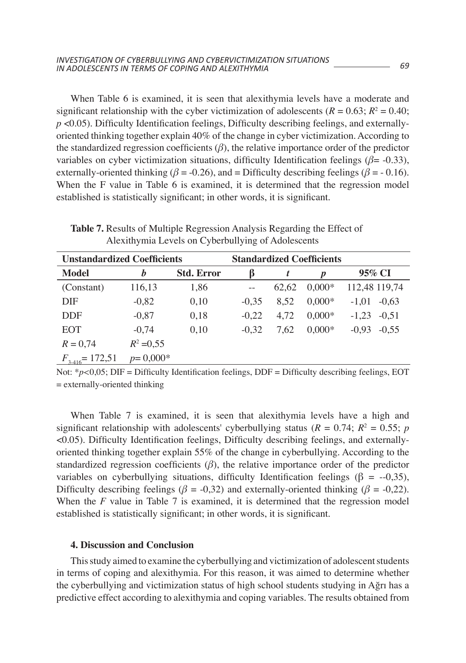When Table 6 is examined, it is seen that alexithymia levels have a moderate and significant relationship with the cyber victimization of adolescents ( $R = 0.63$ ;  $R^2 = 0.40$ ; *p* <0.05). Difficulty Identification feelings, Difficulty describing feelings, and externallyoriented thinking together explain 40% of the change in cyber victimization. According to the standardized regression coefficients  $(\beta)$ , the relative importance order of the predictor variables on cyber victimization situations, difficulty Identification feelings (*β*= -0.33), externally-oriented thinking ( $\beta$  = -0.26), and = Difficulty describing feelings ( $\beta$  = -0.16). When the F value in Table 6 is examined, it is determined that the regression model established is statistically significant; in other words, it is significant.

**Table 7.** Results of Multiple Regression Analysis Regarding the Effect of Alexithymia Levels on Cyberbullying of Adolescents

| <b>Unstandardized Coefficients</b> |              |                   | <b>Standardized Coefficients</b> |       |                  |                    |
|------------------------------------|--------------|-------------------|----------------------------------|-------|------------------|--------------------|
| Model                              | b            | <b>Std. Error</b> | ß                                | t     | $\boldsymbol{p}$ | 95% CI             |
| (Constant)                         | 116,13       | 1,86              |                                  | 62.62 | $0.000*$         | 112,48 119,74      |
| <b>DIF</b>                         | $-0,82$      | 0,10              | $-0.35$                          | 8.52  | $0.000*$         | $-0.63$<br>$-1.01$ |
| <b>DDF</b>                         | $-0,87$      | 0,18              | $-0,22$                          | 4.72  | $0.000*$         | $-0.51$<br>$-1.23$ |
| <b>EOT</b>                         | $-0.74$      | 0.10              | $-0.32$                          | 7.62  | $0.000*$         | $-0.55$<br>$-0.93$ |
| $R = 0,74$                         | $R^2 = 0,55$ |                   |                                  |       |                  |                    |
| $F_{3,416} = 172,51$               | $p=0,000*$   |                   |                                  |       |                  |                    |

Not: \**p*<0,05; DIF = Difficulty Identification feelings, DDF = Difficulty describing feelings, EOT  $=$  externally-oriented thinking

When Table 7 is examined, it is seen that alexithymia levels have a high and significant relationship with adolescents' cyberbullying status ( $R = 0.74$ ;  $R^2 = 0.55$ ; *p* <0.05). Difficulty Identification feelings, Difficulty describing feelings, and externallyoriented thinking together explain 55% of the change in cyberbullying. According to the standardized regression coefficients  $(\beta)$ , the relative importance order of the predictor variables on cyberbullying situations, difficulty Identification feelings ( $\beta = -0.35$ ), Difficulty describing feelings ( $\beta$  = -0,32) and externally-oriented thinking ( $\beta$  = -0,22). When the *F* value in Table 7 is examined, it is determined that the regression model established is statistically significant; in other words, it is significant.

#### **4. Discussion and Conclusion**

This study aimed to examine the cyberbullying and victimization of adolescent students in terms of coping and alexithymia. For this reason, it was aimed to determine whether the cyberbullying and victimization status of high school students studying in Ağrı has a predictive effect according to alexithymia and coping variables. The results obtained from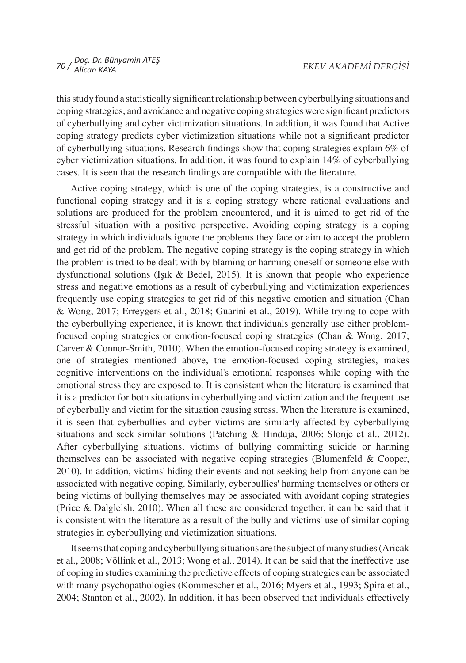thisstudy found a statistically significantrelationship between cyberbullying situations and coping strategies, and avoidance and negative coping strategies were significant predictors of cyberbullying and cyber victimization situations. In addition, it was found that Active coping strategy predicts cyber victimization situations while not a significant predictor of cyberbullying situations. Research findings show that coping strategies explain 6% of cyber victimization situations. In addition, it was found to explain 14% of cyberbullying cases. It is seen that the research findings are compatible with the literature.

Active coping strategy, which is one of the coping strategies, is a constructive and functional coping strategy and it is a coping strategy where rational evaluations and solutions are produced for the problem encountered, and it is aimed to get rid of the stressful situation with a positive perspective. Avoiding coping strategy is a coping strategy in which individuals ignore the problems they face or aim to accept the problem and get rid of the problem. The negative coping strategy is the coping strategy in which the problem is tried to be dealt with by blaming or harming oneself or someone else with dysfunctional solutions (Işık & Bedel, 2015). It is known that people who experience stress and negative emotions as a result of cyberbullying and victimization experiences frequently use coping strategies to get rid of this negative emotion and situation (Chan & Wong, 2017; Erreygers et al., 2018; Guarini et al., 2019). While trying to cope with the cyberbullying experience, it is known that individuals generally use either problemfocused coping strategies or emotion-focused coping strategies (Chan & Wong, 2017; Carver & Connor-Smith, 2010). When the emotion-focused coping strategy is examined, one of strategies mentioned above, the emotion-focused coping strategies, makes cognitive interventions on the individual's emotional responses while coping with the emotional stress they are exposed to. It is consistent when the literature is examined that it is a predictor for both situations in cyberbullying and victimization and the frequent use of cyberbully and victim for the situation causing stress. When the literature is examined, it is seen that cyberbullies and cyber victims are similarly affected by cyberbullying situations and seek similar solutions (Patching & Hinduja, 2006; Slonje et al., 2012). After cyberbullying situations, victims of bullying committing suicide or harming themselves can be associated with negative coping strategies (Blumenfeld & Cooper, 2010). In addition, victims' hiding their events and not seeking help from anyone can be associated with negative coping. Similarly, cyberbullies' harming themselves or others or being victims of bullying themselves may be associated with avoidant coping strategies (Price & Dalgleish, 2010). When all these are considered together, it can be said that it is consistent with the literature as a result of the bully and victims' use of similar coping strategies in cyberbullying and victimization situations.

Itseemsthat coping and cyberbullying situations are the subject ofmany studies(Aricak et al., 2008; Völlink et al., 2013; Wong et al., 2014). It can be said that the ineffective use of coping in studies examining the predictive effects of coping strategies can be associated with many psychopathologies (Kommescher et al., 2016; Myers et al., 1993; Spira et al., 2004; Stanton et al., 2002). In addition, it has been observed that individuals effectively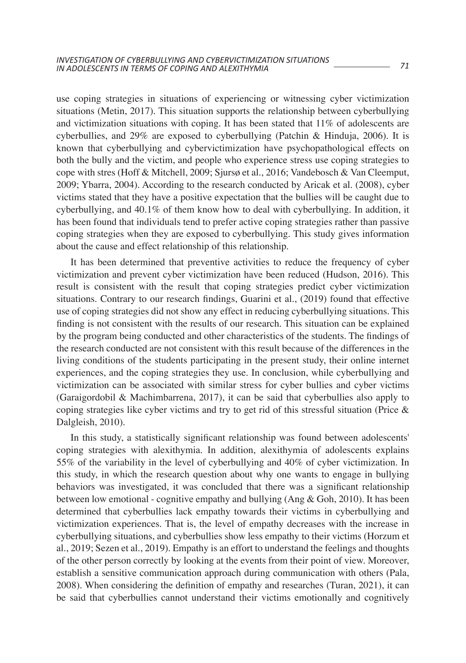use coping strategies in situations of experiencing or witnessing cyber victimization situations (Metin, 2017). This situation supports the relationship between cyberbullying and victimization situations with coping. It has been stated that  $11\%$  of adolescents are cyberbullies, and 29% are exposed to cyberbullying (Patchin & Hinduja, 2006). It is known that cyberbullying and cybervictimization have psychopathological effects on both the bully and the victim, and people who experience stress use coping strategies to cope with stres (Hoff & Mitchell, 2009; Sjursø et al., 2016; Vandebosch & Van Cleemput, 2009; Ybarra, 2004). According to the research conducted by Aricak et al. (2008), cyber victims stated that they have a positive expectation that the bullies will be caught due to cyberbullying, and 40.1% of them know how to deal with cyberbullying. In addition, it has been found that individuals tend to prefer active coping strategies rather than passive coping strategies when they are exposed to cyberbullying. This study gives information about the cause and effect relationship of this relationship.

It has been determined that preventive activities to reduce the frequency of cyber victimization and prevent cyber victimization have been reduced (Hudson, 2016). This result is consistent with the result that coping strategies predict cyber victimization situations. Contrary to our research findings, Guarini et al., (2019) found that effective use of coping strategies did not show any effect in reducing cyberbullying situations. This finding is not consistent with the results of our research. This situation can be explained by the program being conducted and other characteristics of the students. The findings of the research conducted are not consistent with this result because of the differences in the living conditions of the students participating in the present study, their online internet experiences, and the coping strategies they use. In conclusion, while cyberbullying and victimization can be associated with similar stress for cyber bullies and cyber victims (Garaigordobil & Machimbarrena, 2017), it can be said that cyberbullies also apply to coping strategies like cyber victims and try to get rid of this stressful situation (Price  $\&$ Dalgleish, 2010).

In this study, a statistically significant relationship was found between adolescents' coping strategies with alexithymia. In addition, alexithymia of adolescents explains 55% of the variability in the level of cyberbullying and 40% of cyber victimization. In this study, in which the research question about why one wants to engage in bullying behaviors was investigated, it was concluded that there was a significant relationship between low emotional - cognitive empathy and bullying (Ang & Goh, 2010). It has been determined that cyberbullies lack empathy towards their victims in cyberbullying and victimization experiences. That is, the level of empathy decreases with the increase in cyberbullying situations, and cyberbullies show less empathy to their victims (Horzum et al., 2019; Sezen et al., 2019). Empathy is an effort to understand the feelings and thoughts of the other person correctly by looking at the events from their point of view. Moreover, establish a sensitive communication approach during communication with others (Pala, 2008). When considering the definition of empathy and researches (Turan, 2021), it can be said that cyberbullies cannot understand their victims emotionally and cognitively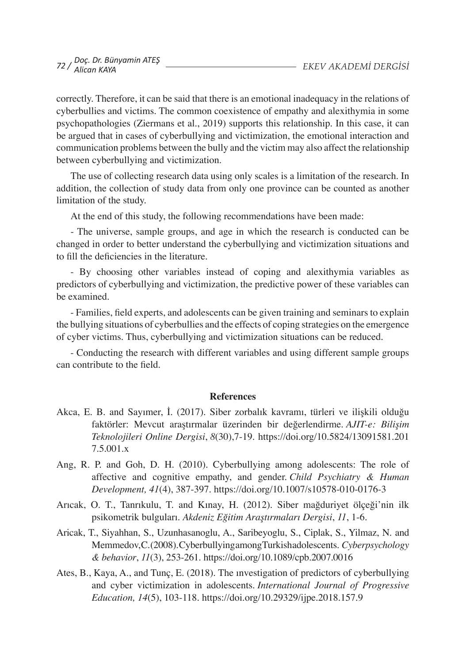correctly. Therefore, it can be said that there is an emotional inadequacy in the relations of cyberbullies and victims. The common coexistence of empathy and alexithymia in some psychopathologies (Ziermans et al., 2019) supports this relationship. In this case, it can be argued that in cases of cyberbullying and victimization, the emotional interaction and communication problems between the bully and the victim may also affect the relationship between cyberbullying and victimization.

The use of collecting research data using only scales is a limitation of the research. In addition, the collection of study data from only one province can be counted as another limitation of the study.

At the end of this study, the following recommendations have been made:

- The universe, sample groups, and age in which the research is conducted can be changed in order to better understand the cyberbullying and victimization situations and to fill the deficiencies in the literature.

- By choosing other variables instead of coping and alexithymia variables as predictors of cyberbullying and victimization, the predictive power of these variables can be examined.

- Families, field experts, and adolescents can be given training and seminars to explain the bullying situations of cyberbullies and the effects of coping strategies on the emergence of cyber victims. Thus, cyberbullying and victimization situations can be reduced.

- Conducting the research with different variables and using different sample groups can contribute to the field.

### **References**

- Akca, E. B. and Sayımer, İ. (2017). Siber zorbalık kavramı, türleri ve ilişkili olduğu faktörler: Mevcut araştırmalar üzerinden bir değerlendirme. *AJIT-e: Bilişim Teknolojileri Online Dergisi*, *8*(30),7-19. https://doi.org/10.5824/13091581.201 7.5.001.x
- Ang, R. P. and Goh, D. H. (2010). Cyberbullying among adolescents: The role of affective and cognitive empathy, and gender. *Child Psychiatry & Human Development, 41*(4), 387-397. https://doi.org/10.1007/s10578-010-0176-3
- Arıcak, O. T., Tanrıkulu, T. and Kınay, H. (2012). Siber mağduriyet ölçeği'nin ilk psikometrik bulguları. *Akdeniz Eğitim Araştırmaları Dergisi*, *11*, 1-6.
- Aricak, T., Siyahhan, S., Uzunhasanoglu, A., Saribeyoglu, S., Ciplak, S., Yilmaz, N. and Memmedov,C.(2008).CyberbullyingamongTurkishadolescents. *Cyberpsychology & behavior*, *11*(3), 253-261. https://doi.org/10.1089/cpb.2007.0016
- Ates, B., Kaya, A., and Tunç, E. (2018). The ınvestigation of predictors of cyberbullying and cyber victimization in adolescents. *International Journal of Progressive Education, 14*(5), 103-118. https://doi.org/10.29329/ijpe.2018.157.9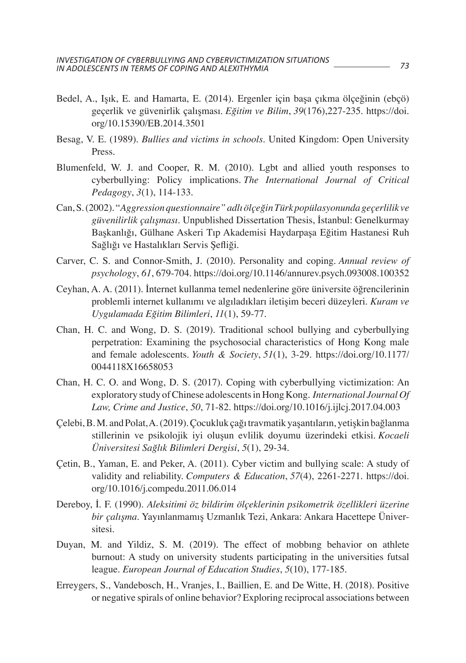- Bedel, A., Işık, E. and Hamarta, E. (2014). Ergenler için başa çıkma ölçeğinin (ebçö) geçerlik ve güvenirlik çalışması. *Eğitim ve Bilim*, *39*(176),227-235. https://doi. org/10.15390/EB.2014.3501
- Besag, V. E. (1989). *Bullies and victims in schools*. United Kingdom: Open University Press.
- Blumenfeld, W. J. and Cooper, R. M. (2010). Lgbt and allied youth responses to cyberbullying: Policy implications. *The International Journal of Critical Pedagogy*, *3*(1), 114-133.
- Can,S.(2002). "*Aggression questionnaire" adlı ölçeğin Türk popülasyonunda geçerlilik ve güvenilirlik çalışması.* Unpublished Dissertation Thesis, İstanbul: Genelkurmay Başkanlığı, Gülhane Askeri Tıp Akademisi Haydarpaşa Eğitim Hastanesi Ruh Sağlığı ve Hastalıkları Servis Şefliği*.*
- Carver, C. S. and Connor-Smith, J. (2010). Personality and coping. *Annual review of psychology*, *61*, 679-704. https://doi.org/10.1146/annurev.psych.093008.100352
- Ceyhan, A. A. (2011). İnternet kullanma temel nedenlerine göre üniversite öğrencilerinin problemli internet kullanımı ve algıladıkları iletişim beceri düzeyleri. *Kuram ve Uygulamada Eğitim Bilimleri*, *11*(1), 59-77.
- Chan, H. C. and Wong, D. S. (2019). Traditional school bullying and cyberbullying perpetration: Examining the psychosocial characteristics of Hong Kong male and female adolescents. *Youth & Society*, *51*(1), 3-29. https://doi.org/10.1177/ 0044118X16658053
- Chan, H. C. O. and Wong, D. S. (2017). Coping with cyberbullying victimization: An exploratory study ofChinese adolescentsin Hong Kong. *International Journal Of Law, Crime and Justice*, *50*, 71-82. https://doi.org/10.1016/j.ijlcj.2017.04.003
- Çelebi,B.M. andPolat,A.(2019).Çocukluk çağıtravmatik yaşantıların, yetişkin bağlanma stillerinin ve psikolojik iyi oluşun evlilik doyumu üzerindeki etkisi. *Kocaeli Üniversitesi Sağlık Bilimleri Dergisi*, *5*(1), 29-34.
- Çetin, B., Yaman, E. and Peker, A. (2011). Cyber victim and bullying scale: A study of validity and reliability. *Computers & Education*, *57*(4), 2261-2271. https://doi. org/10.1016/j.compedu.2011.06.014
- Dereboy, İ. F. (1990). *Aleksitimi öz bildirim ölçeklerinin psikometrik özellikleri üzerine bir çalışma.* Yayınlanmamış Uzmanlık Tezi, Ankara: Ankara Hacettepe Üniversitesi.
- Duyan, M. and Yildiz, S. M. (2019). The effect of mobbıng behavior on athlete burnout: A study on university students participating in the universities futsal league. *European Journal of Education Studies*, *5*(10), 177-185.
- Erreygers, S., Vandebosch, H., Vranjes, I., Baillien, E. and De Witte, H. (2018). Positive or negative spirals of online behavior? Exploring reciprocal associations between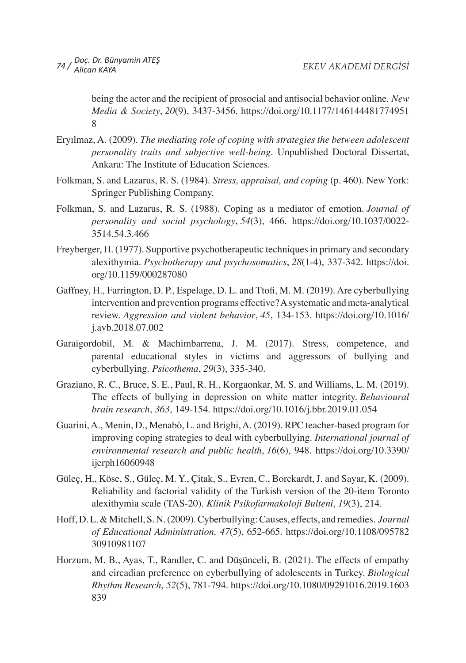being the actor and the recipient of prosocial and antisocial behavior online. *New Media & Society*, *20*(9), 3437-3456. https://doi.org/10.1177/146144481774951 8

- Eryılmaz, A. (2009). *The mediating role of coping with strategies the between adolescent personality traits and subjective well-being.* Unpublished Doctoral Dissertat, Ankara: The Institute of Education Sciences.
- Folkman, S. and Lazarus, R. S. (1984). *Stress, appraisal, and coping* (p. 460). New York: Springer Publishing Company.
- Folkman, S. and Lazarus, R. S. (1988). Coping as a mediator of emotion. *Journal of personality and social psychology*, *54*(3), 466. https://doi.org/10.1037/0022- 3514.54.3.466
- Freyberger, H. (1977). Supportive psychotherapeutic techniquesin primary and secondary alexithymia. *Psychotherapy and psychosomatics*, *28*(1-4), 337-342. https://doi. org/10.1159/000287080
- Gaffney, H., Farrington, D. P., Espelage, D. L. and Ttofi, M. M. (2019). Are cyberbullying intervention and prevention programs effective? A systematic and meta-analytical review. *Aggression and violent behavior*, *45*, 134-153. https://doi.org/10.1016/ j.avb.2018.07.002
- Garaigordobil, M. & Machimbarrena, J. M. (2017). Stress, competence, and parental educational styles in victims and aggressors of bullying and cyberbullying. *Psicothema*, *29*(3), 335-340.
- Graziano, R. C., Bruce, S. E., Paul, R. H., Korgaonkar, M. S. and Williams, L. M. (2019). The effects of bullying in depression on white matter integrity. *Behavioural brain research*, *363*, 149-154. https://doi.org/10.1016/j.bbr.2019.01.054
- Guarini,A., Menin, D., Menabò, L. and Brighi,A. (2019). RPC teacher-based program for improving coping strategies to deal with cyberbullying. *International journal of environmental research and public health*, *16*(6), 948. https://doi.org/10.3390/ ijerph16060948
- Güleç, H., Köse, S., Güleç, M. Y., Çitak, S., Evren, C., Borckardt, J. and Sayar, K. (2009). Reliability and factorial validity of the Turkish version of the 20-item Toronto alexithymia scale (TAS-20). *Klinik Psikofarmakoloji Bulteni*, *19*(3), 214.
- Hoff,D.L.&Mitchell,S.N.(2009).Cyberbullying:Causes, effects, and remedies. *Journal of Educational Administration, 47*(5), 652-665. https://doi.org/10.1108/095782 30910981107
- Horzum, M. B., Ayas, T., Randler, C. and Düşünceli, B. (2021). The effects of empathy and circadian preference on cyberbullying of adolescents in Turkey. *Biological Rhythm Research, 52*(5), 781-794. https://doi.org/10.1080/09291016.2019.1603 839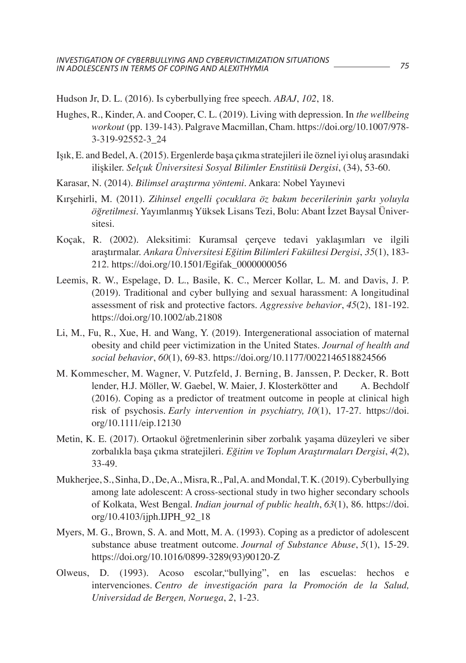Hudson Jr, D. L. (2016). Is cyberbullying free speech. *ABAJ*, *102*, 18.

- Hughes, R., Kinder, A. and Cooper, C. L. (2019). Living with depression. In *the wellbeing workout* (pp. 139-143). Palgrave Macmillan, Cham. https://doi.org/10.1007/978- 3-319-92552-3\_24
- Işık, E. andBedel,A.(2015). Ergenlerde başa çıkma stratejileri ile öznel iyi oluş arasındaki ilişkiler. *Selçuk Üniversitesi Sosyal Bilimler Enstitüsü Dergisi*, (34), 53-60.
- Karasar, N. (2014). *Bilimsel araştırma yöntemi*. Ankara: Nobel Yayınevi
- Kırşehirli, M. (2011). *Zihinsel engelli çocuklara öz bakım becerilerinin şarkı yoluyla öğretilmesi*. Yayımlanmış Yüksek Lisans Tezi, Bolu: Abant İzzet Baysal Üniversitesi.
- Koçak, R. (2002). Aleksitimi: Kuramsal çerçeve tedavi yaklaşımları ve ilgili araştırmalar. *Ankara Üniversitesi Eğitim Bilimleri Fakültesi Dergisi*, *35*(1), 183- 212. https://doi.org/10.1501/Egifak\_0000000056
- Leemis, R. W., Espelage, D. L., Basile, K. C., Mercer Kollar, L. M. and Davis, J. P. (2019). Traditional and cyber bullying and sexual harassment: A longitudinal assessment of risk and protective factors. *Aggressive behavior*, *45*(2), 181-192. https://doi.org/10.1002/ab.21808
- Li, M., Fu, R., Xue, H. and Wang, Y. (2019). Intergenerational association of maternal obesity and child peer victimization in the United States. *Journal of health and social behavior*, *60*(1), 69-83. https://doi.org/10.1177/0022146518824566
- M. Kommescher, M. Wagner, V. Putzfeld, J. Berning, B. Janssen, P. Decker, R. Bott lender, H.J. Möller, W. Gaebel, W. Maier, J. Klosterkötter and A. Bechdolf (2016). Coping as a predictor of treatment outcome in people at clinical high risk of psychosis. *Early intervention in psychiatry, 10*(1), 17-27. https://doi. org/10.1111/eip.12130
- Metin, K. E. (2017). Ortaokul öğretmenlerinin siber zorbalık yaşama düzeyleri ve siber zorbalıkla başa çıkma stratejileri. *Eğitim ve Toplum Araştırmaları Dergisi*, *4*(2), 33-49.
- Mukherjee,S.,Sinha,D.,De,A.,Misra,R.,Pal,A. andMondal,T.K.(2019).Cyberbullying among late adolescent: A cross-sectional study in two higher secondary schools of Kolkata, West Bengal. *Indian journal of public health*, *63*(1), 86. https://doi. org/10.4103/ijph.IJPH\_92\_18
- Myers, M. G., Brown, S. A. and Mott, M. A. (1993). Coping as a predictor of adolescent substance abuse treatment outcome. *Journal of Substance Abuse*, *5*(1), 15-29. https://doi.org/10.1016/0899-3289(93)90120-Z
- Olweus, D. (1993). Acoso escolar,"bullying", en las escuelas: hechos e intervenciones. *Centro de investigación para la Promoción de la Salud, Universidad de Bergen, Noruega*, *2*, 1-23.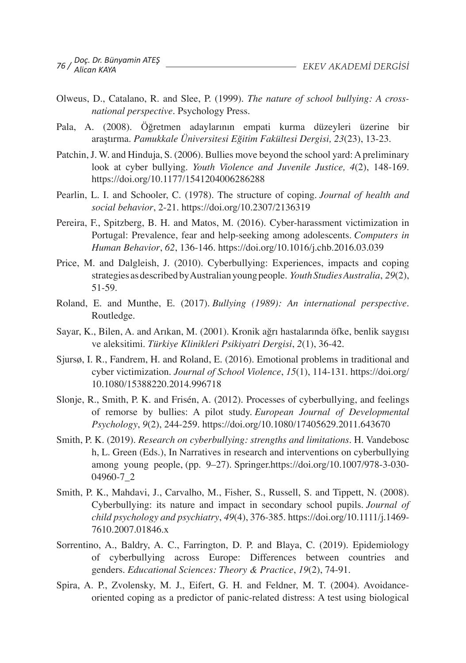- Olweus, D., Catalano, R. and Slee, P. (1999). *The nature of school bullying: A crossnational perspective*. Psychology Press.
- Pala, A. (2008). Öğretmen adaylarının empati kurma düzeyleri üzerine bir araştırma. *Pamukkale Üniversitesi Eğitim Fakültesi Dergisi, 23*(23), 13-23.
- Patchin, J. W. and Hinduja, S. (2006). Bullies move beyond the school yard: A preliminary look at cyber bullying. *Youth Violence and Juvenile Justice, 4*(2), 148-169. https://doi.org/10.1177/1541204006286288
- Pearlin, L. I. and Schooler, C. (1978). The structure of coping. *Journal of health and social behavior*, 2-21. https://doi.org/10.2307/2136319
- Pereira, F., Spitzberg, B. H. and Matos, M. (2016). Cyber-harassment victimization in Portugal: Prevalence, fear and help-seeking among adolescents. *Computers in Human Behavior*, *62*, 136-146. https://doi.org/10.1016/j.chb.2016.03.039
- Price, M. and Dalgleish, J. (2010). Cyberbullying: Experiences, impacts and coping strategies asdescribedbyAustralianyoungpeople. *Youth Studies Australia*, *29*(2), 51-59.
- Roland, E. and Munthe, E. (2017). *Bullying (1989): An international perspective*. Routledge.
- Sayar, K., Bilen, A. and Arıkan, M. (2001). Kronik ağrı hastalarında öfke, benlik saygısı ve aleksitimi. *Türkiye Klinikleri Psikiyatri Dergisi*, *2*(1), 36-42.
- Sjursø, I. R., Fandrem, H. and Roland, E. (2016). Emotional problems in traditional and cyber victimization. *Journal of School Violence*, *15*(1), 114-131. https://doi.org/ 10.1080/15388220.2014.996718
- Slonje, R., Smith, P. K. and Frisén, A. (2012). Processes of cyberbullying, and feelings of remorse by bullies: A pilot study. *European Journal of Developmental Psychology*, *9*(2), 244-259. https://doi.org/10.1080/17405629.2011.643670
- Smith, P. K. (2019). *Research on cyberbullying: strengths and limitations*. H. Vandebosc h, L. Green (Eds.), In Narratives in research and interventions on cyberbullying among young people, (pp. 9–27). Springer.https://doi.org/10.1007/978-3-030- 04960-7\_2
- Smith, P. K., Mahdavi, J., Carvalho, M., Fisher, S., Russell, S. and Tippett, N. (2008). Cyberbullying: its nature and impact in secondary school pupils. *Journal of child psychology and psychiatry*, *49*(4), 376-385. https://doi.org/10.1111/j.1469- 7610.2007.01846.x
- Sorrentino, A., Baldry, A. C., Farrington, D. P. and Blaya, C. (2019). Epidemiology of cyberbullying across Europe: Differences between countries and genders. *Educational Sciences: Theory & Practice*, *19*(2), 74-91.
- Spira, A. P., Zvolensky, M. J., Eifert, G. H. and Feldner, M. T. (2004). Avoidanceoriented coping as a predictor of panic-related distress: A test using biological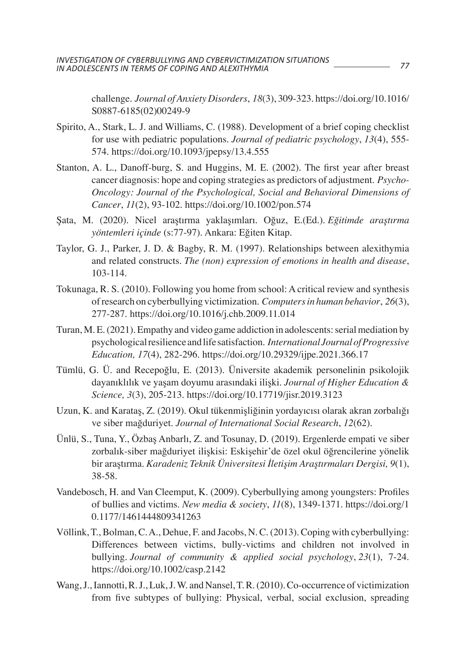challenge. *Journal of Anxiety Disorders*, *18*(3), 309-323. https://doi.org/10.1016/ S0887-6185(02)00249-9

- Spirito, A., Stark, L. J. and Williams, C. (1988). Development of a brief coping checklist for use with pediatric populations. *Journal of pediatric psychology*, *13*(4), 555- 574. https://doi.org/10.1093/jpepsy/13.4.555
- Stanton, A. L., Danoff-burg, S. and Huggins, M. E. (2002). The first year after breast cancer diagnosis: hope and coping strategies as predictors of adjustment. *Psycho-Oncology: Journal of the Psychological, Social and Behavioral Dimensions of Cancer*, *11*(2), 93-102. https://doi.org/10.1002/pon.574
- Şata, M. (2020). Nicel araştırma yaklaşımları. Oğuz, E.(Ed.)*. Eğitimde araştırma yöntemleri içinde* (s:77-97). Ankara: Eğiten Kitap.
- Taylor, G. J., Parker, J. D. & Bagby, R. M. (1997). Relationships between alexithymia and related constructs. *The (non) expression of emotions in health and disease*, 103-114.
- Tokunaga, R. S. (2010). Following you home from school: A critical review and synthesis ofresearch on cyberbullying victimization. *Computers in human behavior*, *26*(3), 277-287. https://doi.org/10.1016/j.chb.2009.11.014
- Turan, M. E. (2021). Empathy and video game addiction in adolescents: serial mediation by psychological resilience and life satisfaction. *International Journal of Progressive Education, 17*(4), 282-296. https://doi.org/10.29329/ijpe.2021.366.17
- Tümlü, G. Ü. and Recepoğlu, E. (2013). Üniversite akademik personelinin psikolojik dayanıklılık ve yaşam doyumu arasındaki ilişki. *Journal of Higher Education & Science, 3*(3), 205-213. https://doi.org/10.17719/jisr.2019.3123
- Uzun, K. and Karataş, Z. (2019). Okul tükenmişliğinin yordayıcısı olarak akran zorbalığı ve siber mağduriyet. *Journal of International Social Research*, *12*(62).
- Ünlü, S., Tuna, Y., Özbaş Anbarlı, Z. and Tosunay, D. (2019). Ergenlerde empati ve siber zorbalık-siber mağduriyet ilişkisi: Eskişehir'de özel okul öğrencilerine yönelik bir araştırma. *Karadeniz Teknik Üniversitesi İletişim Araştırmaları Dergisi, 9*(1), 38-58.
- Vandebosch, H. and Van Cleemput, K. (2009). Cyberbullying among youngsters: Profiles of bullies and victims. *New media & society*, *11*(8), 1349-1371. https://doi.org/1 0.1177/1461444809341263
- Völlink,T.,Bolman,C.A., Dehue, F. and Jacobs, N.C.(2013).Coping with cyberbullying: Differences between victims, bully-victims and children not involved in bullying. *Journal of community & applied social psychology*, *23*(1), 7-24. https://doi.org/10.1002/casp.2142
- Wang, J., Iannotti, R. J., Luk, J. W. and Nansel, T. R. (2010). Co-occurrence of victimization from five subtypes of bullying: Physical, verbal, social exclusion, spreading